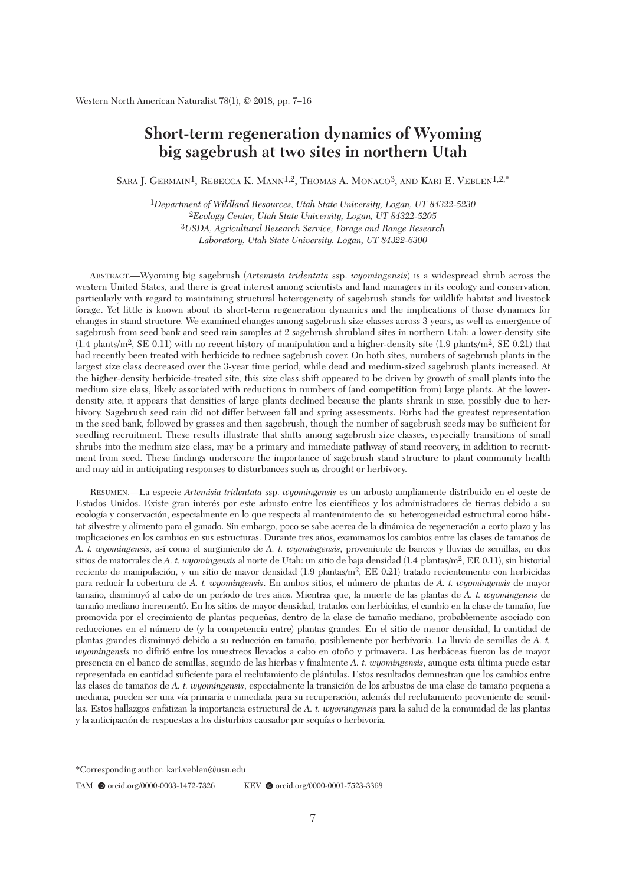# **Short-term regeneration dynamics of Wyoming big sagebrush at two sites in northern Utah**

SARA J. GERMAIN<sup>1</sup>, REBECCA K. MANN<sup>1,2</sup>, THOMAS A. MONACO<sup>3</sup>, AND KARI E. VEBLEN<sup>1,2,\*</sup>

*Department of Wildland Resources, Utah State University, Logan, UT 84322-5230 Ecology Center, Utah State University, Logan, UT 84322-5205 USDA, Agricultural Research Service, Forage and Range Research Laboratory, Utah State University, Logan, UT 84322-6300*

 ABSTRACT.—Wyoming big sagebrush (*Artemisia tridentata* ssp. *wyomingensis*) is a widespread shrub across the western United States, and there is great interest among scientists and land managers in its ecology and conservation, particularly with regard to maintaining structural heterogeneity of sagebrush stands for wildlife habitat and livestock forage. Yet little is known about its short-term regeneration dynamics and the implications of those dynamics for changes in stand structure. We examined changes among sagebrush size classes across 3 years, as well as emergence of sagebrush from seed bank and seed rain samples at 2 sagebrush shrubland sites in northern Utah: a lower-density site  $(1.4 \text{ plants/m}^2, \text{SE } 0.11)$  with no recent history of manipulation and a higher-density site  $(1.9 \text{ plants/m}^2, \text{SE } 0.21)$  that had recently been treated with herbicide to reduce sagebrush cover. On both sites, numbers of sagebrush plants in the largest size class decreased over the 3-year time period, while dead and medium-sized sagebrush plants increased. At the higher-density herbicide-treated site, this size class shift appeared to be driven by growth of small plants into the medium size class, likely associated with reductions in numbers of (and competition from) large plants. At the lowerdensity site, it appears that densities of large plants declined because the plants shrank in size, possibly due to herbivory. Sagebrush seed rain did not differ between fall and spring assessments. Forbs had the greatest representation in the seed bank, followed by grasses and then sagebrush, though the number of sagebrush seeds may be sufficient for seedling recruitment. These results illustrate that shifts among sagebrush size classes, especially transitions of small shrubs into the medium size class, may be a primary and immediate pathway of stand recovery, in addition to recruitment from seed. These findings underscore the importance of sagebrush stand structure to plant community health and may aid in anticipating responses to disturbances such as drought or herbivory.

 RESUMEN.—La especie *Artemisia tridentata* ssp. *wyomingensis* es un arbusto ampliamente distribuido en el oeste de Estados Unidos. Existe gran interés por este arbusto entre los científicos y los administradores de tierras debido a su ecología y conservación, especialmente en lo que respecta al mantenimiento de su heterogeneidad estructural como hábitat silvestre y alimento para el ganado. Sin embargo, poco se sabe acerca de la dinámica de regeneración a corto plazo y las implicaciones en los cambios en sus estructuras. Durante tres años, examinamos los cambios entre las clases de tamaños de *A. t. wyomingensis*, así como el surgimiento de *A. t. wyomingensis*, proveniente de bancos y lluvias de semillas, en dos sitios de matorrales de *A. t. wyomingensis* al norte de Utah: un sitio de baja densidad (1.4 plantas/m2, EE 0.11), sin historial reciente de manipulación, y un sitio de mayor densidad (1.9 plantas/m2, EE 0.21) tratado recientemente con herbicidas para reducir la cobertura de *A. t. wyomingensis*. En ambos sitios, el número de plantas de *A. t. wyomingensis* de mayor tamaño, disminuyó al cabo de un período de tres años. Mientras que, la muerte de las plantas de *A. t. wyomingensis* de tamaño mediano incrementó. En los sitios de mayor densidad, tratados con herbicidas, el cambio en la clase de tamaño, fue promovida por el crecimiento de plantas pequeñas, dentro de la clase de tamaño mediano, probablemente asociado con reducciones en el número de (y la competencia entre) plantas grandes. En el sitio de menor densidad, la cantidad de plantas grandes disminuyó debido a su reducción en tamaño, posiblemente por herbivoría. La lluvia de semillas de *A. t. wyomingensis* no difirió entre los muestreos llevados a cabo en otoño y primavera. Las herbáceas fueron las de mayor presencia en el banco de semillas, seguido de las hierbas y finalmente *A. t. wyomingensis*, aunque esta última puede estar representada en cantidad suficiente para el reclutamiento de plántulas. Estos resultados demuestran que los cambios entre las clases de tamaños de *A. t. wyomingensis*, especialmente la transición de los arbustos de una clase de tamaño pequeña a mediana, pueden ser una vía primaria e inmediata para su recuperación, además del reclutamiento proveniente de semillas. Estos hallazgos enfatizan la importancia estructural de *A. t. wyomingensis* para la salud de la comunidad de las plantas y la anticipación de respuestas a los disturbios causador por sequías o herbivoría.

<sup>\*</sup>Corresponding author: kari.veblen@usu.edu

TAM @ orcid.org/0000-0003-1472-7326 KEV @ orcid.org/0000-0001-7523-3368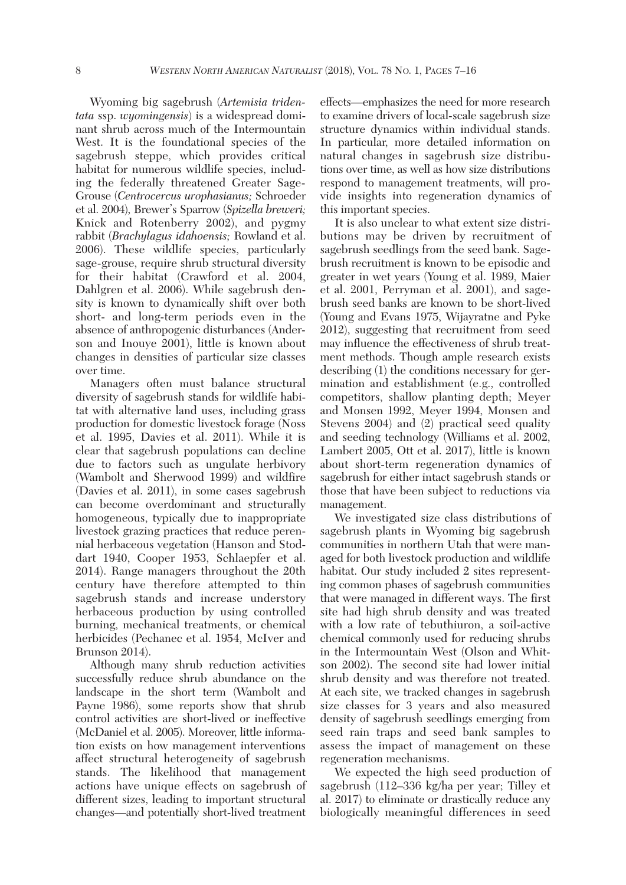Wyoming big sagebrush (*Artemisia tridentata* ssp. *wyomingensis*) is a widespread dominant shrub across much of the Intermountain West. It is the foundational species of the sagebrush steppe, which provides critical habitat for numerous wildlife species, including the federally threatened Greater Sage-Grouse (*Centrocercus urophasianus;* Schroeder et al. 2004), Brewer's Sparrow (*Spizella breweri;* Knick and Rotenberry 2002), and pygmy rabbit (*Brachylagus idahoensis;* Rowland et al. 2006). These wildlife species, particularly sage-grouse, require shrub structural diversity for their habitat (Crawford et al. 2004, Dahlgren et al. 2006). While sagebrush density is known to dynamically shift over both short- and long-term periods even in the absence of anthropogenic disturbances (Anderson and Inouye 2001), little is known about changes in densities of particular size classes over time.

 Managers often must balance structural diversity of sagebrush stands for wildlife habitat with alternative land uses, including grass production for domestic livestock forage (Noss et al. 1995, Davies et al. 2011). While it is clear that sagebrush populations can decline due to factors such as ungulate herbivory (Wambolt and Sherwood 1999) and wildfire (Davies et al. 2011), in some cases sagebrush can become overdominant and structurally homogeneous, typically due to inappropriate livestock grazing practices that reduce perennial herbaceous vegetation (Hanson and Stoddart 1940, Cooper 1953, Schlaepfer et al. 2014). Range managers throughout the 20th century have therefore attempted to thin sagebrush stands and increase understory herbaceous production by using controlled burning, mechanical treatments, or chemical herbicides (Pechanec et al. 1954, McIver and Brunson 2014).

 Although many shrub reduction activities successfully reduce shrub abundance on the landscape in the short term (Wambolt and Payne 1986), some reports show that shrub control activities are short-lived or ineffective (McDaniel et al. 2005). Moreover, little information exists on how management interventions affect structural heterogeneity of sagebrush stands. The likelihood that management actions have unique effects on sagebrush of different sizes, leading to important structural changes—and potentially short-lived treatment effects—emphasizes the need for more research to examine drivers of local-scale sagebrush size structure dynamics within individual stands. In particular, more detailed information on natural changes in sagebrush size distributions over time, as well as how size distributions respond to management treatments, will provide insights into regeneration dynamics of this important species.

 It is also unclear to what extent size distributions may be driven by recruitment of sagebrush seedlings from the seed bank. Sagebrush recruitment is known to be episodic and greater in wet years (Young et al. 1989, Maier et al. 2001, Perryman et al. 2001), and sagebrush seed banks are known to be short-lived (Young and Evans 1975, Wijayratne and Pyke 2012), suggesting that recruitment from seed may influence the effectiveness of shrub treatment methods. Though ample research exists describing (1) the conditions necessary for germination and establishment (e.g., controlled competitors, shallow planting depth; Meyer and Monsen 1992, Meyer 1994, Monsen and Stevens 2004) and (2) practical seed quality and seeding technology (Williams et al. 2002, Lambert 2005, Ott et al. 2017), little is known about short-term regeneration dynamics of sagebrush for either intact sagebrush stands or those that have been subject to reductions via management.

 We investigated size class distributions of sagebrush plants in Wyoming big sagebrush communities in northern Utah that were managed for both livestock production and wildlife habitat. Our study included 2 sites representing common phases of sagebrush communities that were managed in different ways. The first site had high shrub density and was treated with a low rate of tebuthiuron, a soil-active chemical commonly used for reducing shrubs in the Intermountain West (Olson and Whitson 2002). The second site had lower initial shrub density and was therefore not treated. At each site, we tracked changes in sagebrush size classes for 3 years and also measured density of sagebrush seedlings emerging from seed rain traps and seed bank samples to assess the impact of management on these regeneration mechanisms.

 We expected the high seed production of sagebrush (112–336 kg/ha per year; Tilley et al. 2017) to eliminate or drastically reduce any biologically meaningful differences in seed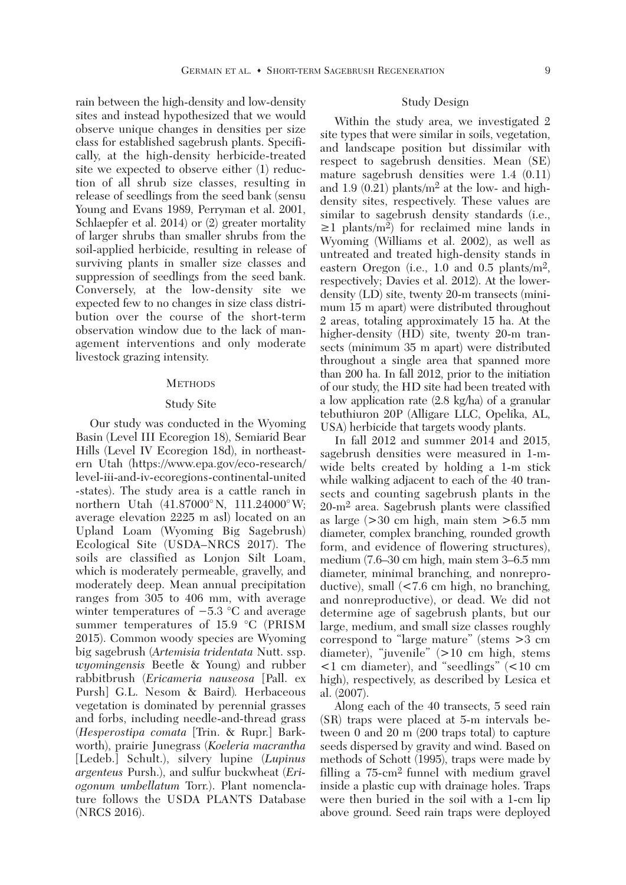rain between the high-density and low-density sites and instead hypothesized that we would observe unique changes in densities per size class for established sagebrush plants. Specifically, at the high-density herbicide-treated site we expected to observe either (1) reduction of all shrub size classes, resulting in release of seedlings from the seed bank (sensu Young and Evans 1989, Perryman et al. 2001, Schlaepfer et al. 2014) or (2) greater mortality of larger shrubs than smaller shrubs from the soil-applied herbicide, resulting in release of surviving plants in smaller size classes and suppression of seedlings from the seed bank. Conversely, at the low-density site we expected few to no changes in size class distribution over the course of the short-term observation window due to the lack of management interventions and only moderate livestock grazing intensity.

#### **METHODS**

#### Study Site

 Our study was conducted in the Wyoming Basin (Level III Ecoregion 18), Semiarid Bear Hills (Level IV Ecoregion 18d), in northeastern Utah (https://www.epa.gov/eco-research/ level-iii-and-iv-ecoregions-continental-united -states). The study area is a cattle ranch in northern Utah (41.87000°N, 111.24000°W; average elevation 2225 m asl) located on an Upland Loam (Wyoming Big Sagebrush) Ecological Site (USDA–NRCS 2017). The soils are classified as Lonjon Silt Loam, which is moderately permeable, gravelly, and moderately deep. Mean annual precipitation ranges from 305 to 406 mm, with average winter temperatures of −5.3 °C and average summer temperatures of 15.9 °C (PRISM 2015). Common woody species are Wyoming big sagebrush (*Artemisia tridentata* Nutt. ssp. *wyomingensis* Beetle & Young) and rubber rabbitbrush (*Ericameria nauseosa* [Pall. ex Pursh] G.L. Nesom & Baird)*.* Herbaceous vegetation is dominated by perennial grasses and forbs, including needle-and-thread grass (*Hesperostipa comata* [Trin. & Rupr.] Barkworth), prairie Junegrass (*Koeleria macrantha* [Ledeb.] Schult.), silvery lupine (*Lupinus argenteus* Pursh.), and sulfur buckwheat (*Eriogonum umbellatum* Torr.). Plant nomenclature follows the USDA PLANTS Database (NRCS 2016).

#### Study Design

 Within the study area, we investigated 2 site types that were similar in soils, vegetation, and landscape position but dissimilar with respect to sagebrush densities. Mean (SE) mature sagebrush densities were 1.4 (0.11) and 1.9  $(0.21)$  plants/m<sup>2</sup> at the low- and highdensity sites, respectively. These values are similar to sagebrush density standards (i.e., **≥**1 plants/m2) for reclaimed mine lands in Wyoming (Williams et al. 2002), as well as untreated and treated high-density stands in eastern Oregon (i.e., 1.0 and 0.5 plants/m2, respectively; Davies et al. 2012). At the lowerdensity (LD) site, twenty 20-m transects (minimum 15 m apart) were distributed throughout 2 areas, totaling approximately 15 ha. At the higher-density (HD) site, twenty 20-m transects (minimum 35 m apart) were distributed throughout a single area that spanned more than 200 ha. In fall 2012, prior to the initiation of our study, the HD site had been treated with a low application rate (2.8 kg/ha) of a granular tebuthiuron 20P (Alligare LLC, Opelika, AL, USA) herbicide that targets woody plants.

 In fall 2012 and summer 2014 and 2015, sagebrush densities were measured in 1-mwide belts created by holding a 1-m stick while walking adjacent to each of the 40 transects and counting sagebrush plants in the 20-m2 area. Sagebrush plants were classified as large (>30 cm high, main stem >6.5 mm diameter, complex branching, rounded growth form, and evidence of flowering structures), medium (7.6–30 cm high, main stem 3–6.5 mm diameter, minimal branching, and nonreproductive), small (<7.6 cm high, no branching, and nonreproductive), or dead. We did not determine age of sagebrush plants, but our large, medium, and small size classes roughly correspond to "large mature" (stems >3 cm diameter), "juvenile" (>10 cm high, stems <1 cm diameter), and "seedlings" (<10 cm high), respectively, as described by Lesica et al. (2007).

 Along each of the 40 transects, 5 seed rain (SR) traps were placed at 5-m intervals between 0 and 20 m (200 traps total) to capture seeds dispersed by gravity and wind. Based on methods of Schott (1995), traps were made by filling a 75-cm2 funnel with medium gravel inside a plastic cup with drainage holes. Traps were then buried in the soil with a 1-cm lip above ground. Seed rain traps were deployed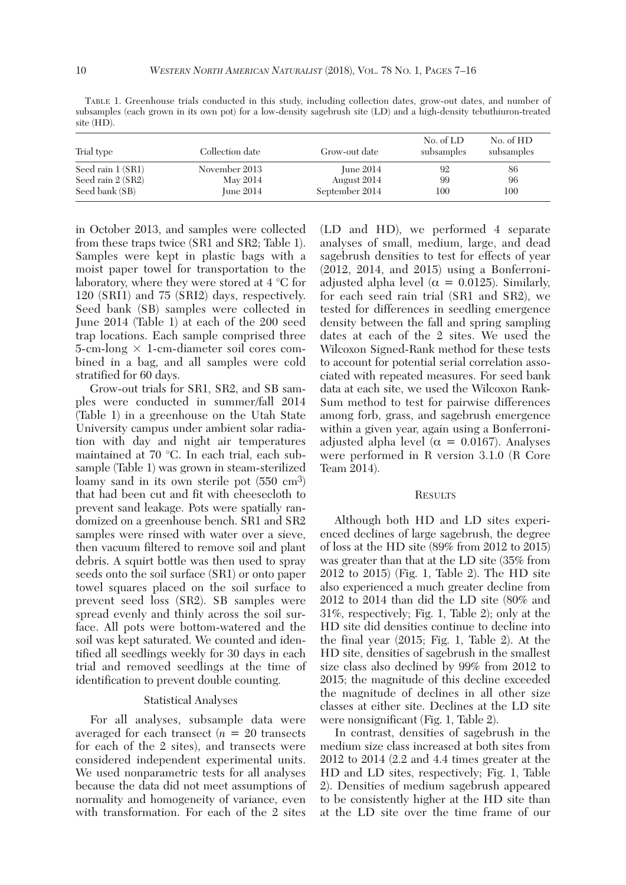TABLE 1. Greenhouse trials conducted in this study, including collection dates, grow-out dates, and number of subsamples (each grown in its own pot) for a low-density sagebrush site (LD) and a high-density tebuthiuron-treated site (HD).

| Trial type        | Collection date | Grow-out date  | No. of LD<br>subsamples | No. of HD<br>subsamples |
|-------------------|-----------------|----------------|-------------------------|-------------------------|
| Seed rain 1 (SR1) | November 2013   | June $2014$    | 92                      | 86                      |
| Seed rain 2 (SR2) | May 2014        | August 2014    | 99                      | 96                      |
| Seed bank (SB)    | June $2014$     | September 2014 | 100                     | 100                     |

in October 2013, and samples were collected from these traps twice (SR1 and SR2; Table 1). Samples were kept in plastic bags with a moist paper towel for transportation to the laboratory, where they were stored at 4 °C for 120 (SRI1) and 75 (SRI2) days, respectively. Seed bank (SB) samples were collected in June 2014 (Table 1) at each of the 200 seed trap locations. Each sample comprised three  $5$ -cm-long  $\times$  1-cm-diameter soil cores combined in a bag, and all samples were cold stratified for 60 days.

 Grow-out trials for SR1, SR2, and SB samples were conducted in summer/fall 2014 (Table 1) in a greenhouse on the Utah State University campus under ambient solar radiation with day and night air temperatures maintained at 70 °C. In each trial, each subsample (Table 1) was grown in steam-sterilized loamy sand in its own sterile pot  $(550 \text{ cm}^3)$ that had been cut and fit with cheesecloth to prevent sand leakage. Pots were spatially randomized on a greenhouse bench. SR1 and SR2 samples were rinsed with water over a sieve, then vacuum filtered to remove soil and plant debris. A squirt bottle was then used to spray seeds onto the soil surface (SR1) or onto paper towel squares placed on the soil surface to prevent seed loss (SR2). SB samples were spread evenly and thinly across the soil surface. All pots were bottom-watered and the soil was kept saturated. We counted and identified all seedlings weekly for 30 days in each trial and removed seedlings at the time of identification to prevent double counting.

# Statistical Analyses

 For all analyses, subsample data were averaged for each transect  $(n = 20$  transects for each of the 2 sites), and transects were considered independent experimental units. We used nonparametric tests for all analyses because the data did not meet assumptions of normality and homogeneity of variance, even with transformation. For each of the 2 sites (LD and HD), we performed 4 separate analyses of small, medium, large, and dead sagebrush densities to test for effects of year (2012, 2014, and 2015) using a Bonferroniadjusted alpha level ( $\alpha = 0.0125$ ). Similarly, for each seed rain trial (SR1 and SR2), we tested for differences in seedling emergence density between the fall and spring sampling dates at each of the 2 sites. We used the Wilcoxon Signed-Rank method for these tests to account for potential serial correlation associated with repeated measures. For seed bank data at each site, we used the Wilcoxon Rank-Sum method to test for pairwise differences among forb, grass, and sagebrush emergence within a given year, again using a Bonferroniadjusted alpha level ( $\alpha = 0.0167$ ). Analyses were performed in R version 3.1.0 (R Core Team 2014).

#### **RESULTS**

 Although both HD and LD sites experienced declines of large sagebrush, the degree of loss at the HD site (89% from 2012 to 2015) was greater than that at the LD site (35% from 2012 to 2015) (Fig. 1, Table 2). The HD site also experienced a much greater decline from 2012 to 2014 than did the LD site (80% and 31%, respectively; Fig. 1, Table 2); only at the HD site did densities continue to decline into the final year (2015; Fig. 1, Table 2). At the HD site, densities of sagebrush in the smallest size class also declined by 99% from 2012 to 2015; the magnitude of this decline exceeded the magnitude of declines in all other size classes at either site. Declines at the LD site were nonsignificant (Fig. 1, Table 2).

 In contrast, densities of sagebrush in the medium size class increased at both sites from 2012 to 2014 (2.2 and 4.4 times greater at the HD and LD sites, respectively; Fig. 1, Table 2). Densities of medium sagebrush appeared to be consistently higher at the HD site than at the LD site over the time frame of our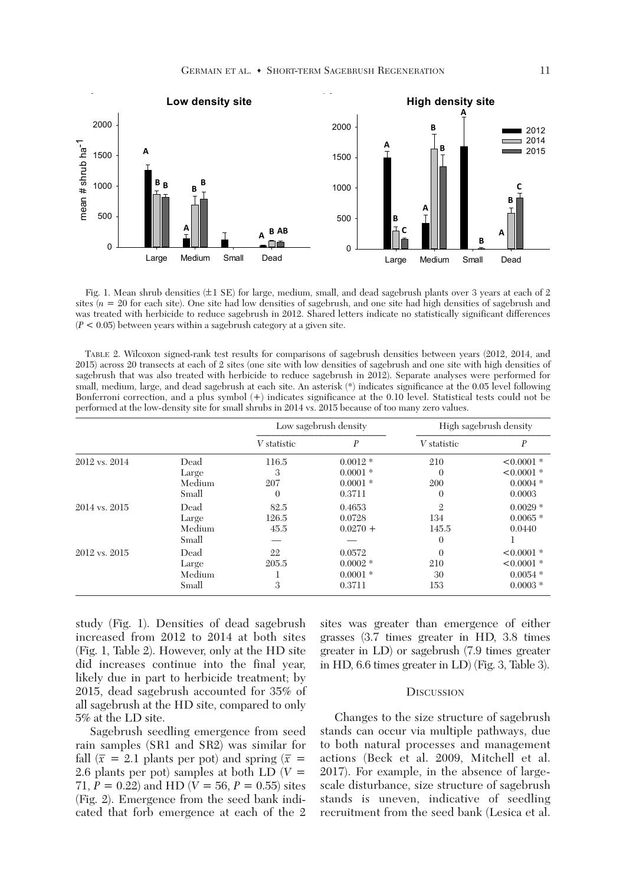

 Fig. 1. Mean shrub densities (**+–**1 SE) for large, medium, small, and dead sagebrush plants over 3 years at each of 2 sites  $(n = 20$  for each site). One site had low densities of sagebrush, and one site had high densities of sagebrush and was treated with herbicide to reduce sagebrush in 2012. Shared letters indicate no statistically significant differences  $(P < 0.05)$  between years within a sagebrush category at a given site.

 TABLE 2. Wilcoxon signed-rank test results for comparisons of sagebrush densities between years (2012, 2014, and 2015) across 20 transects at each of 2 sites (one site with low densities of sagebrush and one site with high densities of sagebrush that was also treated with herbicide to reduce sagebrush in 2012). Separate analyses were performed for small, medium, large, and dead sagebrush at each site. An asterisk (\*) indicates significance at the 0.05 level following Bonferroni correction, and a plus symbol (+) indicates significance at the 0.10 level. Statistical tests could not be performed at the low-density site for small shrubs in 2014 vs. 2015 because of too many zero values.

|               |        | Low sagebrush density |            | High sagebrush density |              |
|---------------|--------|-----------------------|------------|------------------------|--------------|
|               |        | V statistic           | P          | V statistic            | P            |
| 2012 vs. 2014 | Dead   | 116.5                 | $0.0012*$  | 210                    | $< 0.0001$ * |
|               | Large  | 3                     | $0.0001*$  | $\Omega$               | $< 0.0001$ * |
|               | Medium | 207                   | $0.0001 *$ | 200                    | $0.0004*$    |
|               | Small  | $\theta$              | 0.3711     | $\mathbf{0}$           | 0.0003       |
| 2014 vs. 2015 | Dead   | 82.5                  | 0.4653     | $\mathfrak{2}$         | $0.0029$ *   |
|               | Large  | 126.5                 | 0.0728     | 134                    | $0.0065*$    |
|               | Medium | 45.5                  | $0.0270 +$ | 145.5                  | 0.0440       |
|               | Small  |                       |            | $\Omega$               |              |
| 2012 vs. 2015 | Dead   | 22                    | 0.0572     | $\Omega$               | $< 0.0001$ * |
|               | Large  | 205.5                 | $0.0002$ * | 210                    | $< 0.0001$ * |
|               | Medium |                       | $0.0001 *$ | 30                     | $0.0054$ *   |
|               | Small  | 3                     | 0.3711     | 153                    | $0.0003*$    |

study (Fig. 1). Densities of dead sagebrush increased from 2012 to 2014 at both sites (Fig. 1, Table 2). However, only at the HD site did increases continue into the final year, likely due in part to herbicide treatment; by 2015, dead sagebrush accounted for 35% of all sagebrush at the HD site, compared to only 5% at the LD site.

 Sagebrush seedling emergence from seed rain samples (SR1 and SR2) was similar for fall  $(\bar{x} = 2.1$  plants per pot) and spring  $(\bar{x} = 1.1)$ 2.6 plants per pot) samples at both LD (*V* = 71,  $P = 0.22$ ) and HD ( $V = 56$ ,  $P = 0.55$ ) sites (Fig. 2). Emergence from the seed bank indicated that forb emergence at each of the 2 sites was greater than emergence of either grasses (3.7 times greater in HD, 3.8 times greater in LD) or sagebrush (7.9 times greater in HD, 6.6 times greater in LD) (Fig. 3, Table 3).

#### **DISCUSSION**

 Changes to the size structure of sagebrush stands can occur via multiple pathways, due to both natural processes and management actions (Beck et al. 2009, Mitchell et al. 2017). For example, in the absence of largescale disturbance, size structure of sagebrush stands is uneven, indicative of seedling recruitment from the seed bank (Lesica et al.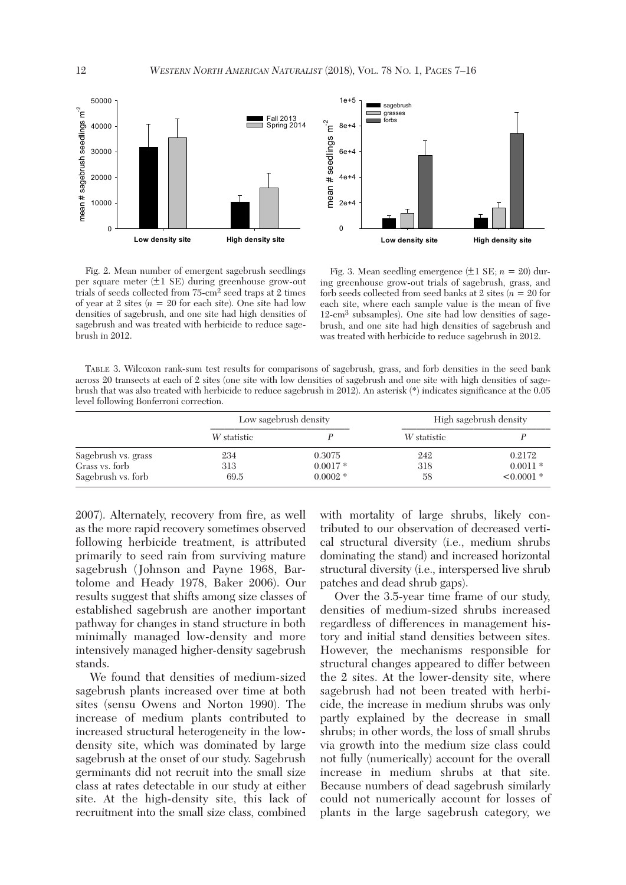

 Fig. 2. Mean number of emergent sagebrush seedlings per square meter (**+–**1 SE) during greenhouse grow-out trials of seeds collected from 75-cm2 seed traps at 2 times of year at 2 sites  $(n = 20$  for each site). One site had low densities of sagebrush, and one site had high densities of sagebrush and was treated with herbicide to reduce sagebrush in 2012.

Fig. 3. Mean seedling emergence  $(\pm 1 \text{ SE}; n = 20)$  during greenhouse grow-out trials of sagebrush, grass, and forb seeds collected from seed banks at 2 sites (*n* = 20 for each site, where each sample value is the mean of five 12-cm3 subsamples). One site had low densities of sagebrush, and one site had high densities of sagebrush and was treated with herbicide to reduce sagebrush in 2012.

 TABLE 3. Wilcoxon rank-sum test results for comparisons of sagebrush, grass, and forb densities in the seed bank across 20 transects at each of 2 sites (one site with low densities of sagebrush and one site with high densities of sagebrush that was also treated with herbicide to reduce sagebrush in 2012). An asterisk (\*) indicates significance at the 0.05 level following Bonferroni correction.

|                     | Low sagebrush density |            | High sagebrush density |            |
|---------------------|-----------------------|------------|------------------------|------------|
|                     | W statistic           |            | W statistic            |            |
| Sagebrush vs. grass | 234                   | 0.3075     | 242                    | 0.2172     |
| Grass vs. forb      | 313                   | $0.0017*$  | 318                    | $0.0011*$  |
| Sagebrush vs. forb  | 69.5                  | $0.0002$ * | 58                     | $<0.0001*$ |

2007). Alternately, recovery from fire, as well as the more rapid recovery sometimes observed following herbicide treatment, is attributed primarily to seed rain from surviving mature sagebrush (Johnson and Payne 1968, Bartolome and Heady 1978, Baker 2006). Our results suggest that shifts among size classes of established sagebrush are another important pathway for changes in stand structure in both minimally managed low-density and more intensively managed higher-density sagebrush stands.

 We found that densities of medium-sized sagebrush plants increased over time at both sites (sensu Owens and Norton 1990). The increase of medium plants contributed to increased structural heterogeneity in the lowdensity site, which was dominated by large sagebrush at the onset of our study. Sagebrush germinants did not recruit into the small size class at rates detectable in our study at either site. At the high-density site, this lack of recruitment into the small size class, combined with mortality of large shrubs, likely contributed to our observation of decreased vertical structural diversity (i.e., medium shrubs dominating the stand) and increased horizontal structural diversity (i.e., interspersed live shrub patches and dead shrub gaps).

 Over the 3.5-year time frame of our study, densities of medium-sized shrubs increased regardless of differences in management history and initial stand densities between sites. However, the mechanisms responsible for structural changes appeared to differ between the 2 sites. At the lower-density site, where sagebrush had not been treated with herbicide, the increase in medium shrubs was only partly explained by the decrease in small shrubs; in other words, the loss of small shrubs via growth into the medium size class could not fully (numerically) account for the overall increase in medium shrubs at that site. Because numbers of dead sagebrush similarly could not numerically account for losses of plants in the large sagebrush category, we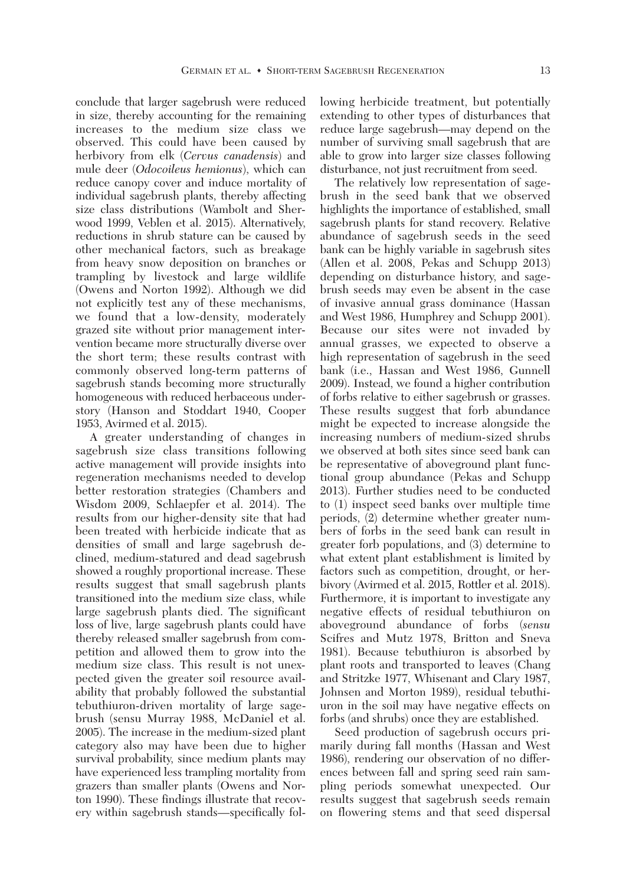conclude that larger sagebrush were reduced in size, thereby accounting for the remaining increases to the medium size class we observed. This could have been caused by herbivory from elk (*Cervus canadensis*) and mule deer (*Odocoileus hemionus*), which can reduce canopy cover and induce mortality of individual sagebrush plants, thereby affecting size class distributions (Wambolt and Sherwood 1999, Veblen et al. 2015). Alternatively, reductions in shrub stature can be caused by other mechanical factors, such as breakage from heavy snow deposition on branches or trampling by livestock and large wildlife (Owens and Norton 1992). Although we did not explicitly test any of these mechanisms, we found that a low-density, moderately grazed site without prior management intervention became more structurally diverse over the short term; these results contrast with commonly observed long-term patterns of sagebrush stands becoming more structurally homogeneous with reduced herbaceous understory (Hanson and Stoddart 1940, Cooper 1953, Avirmed et al. 2015).

 A greater understanding of changes in sagebrush size class transitions following active management will provide insights into regeneration mechanisms needed to develop better restoration strategies (Chambers and Wisdom 2009, Schlaepfer et al. 2014). The results from our higher-density site that had been treated with herbicide indicate that as densities of small and large sagebrush declined, medium-statured and dead sagebrush showed a roughly proportional increase. These results suggest that small sagebrush plants transitioned into the medium size class, while large sagebrush plants died. The significant loss of live, large sagebrush plants could have thereby released smaller sagebrush from competition and allowed them to grow into the medium size class. This result is not unexpected given the greater soil resource availability that probably followed the substantial tebuthiuron-driven mortality of large sagebrush (sensu Murray 1988, McDaniel et al. 2005). The increase in the medium-sized plant category also may have been due to higher survival probability, since medium plants may have experienced less trampling mortality from grazers than smaller plants (Owens and Norton 1990). These findings illustrate that recovery within sagebrush stands—specifically following herbicide treatment, but potentially extending to other types of disturbances that reduce large sagebrush—may depend on the number of surviving small sagebrush that are able to grow into larger size classes following disturbance, not just recruitment from seed.

 The relatively low representation of sagebrush in the seed bank that we observed highlights the importance of established, small sagebrush plants for stand recovery. Relative abundance of sagebrush seeds in the seed bank can be highly variable in sagebrush sites (Allen et al. 2008, Pekas and Schupp 2013) depending on disturbance history, and sagebrush seeds may even be absent in the case of invasive annual grass dominance (Hassan and West 1986, Humphrey and Schupp 2001). Because our sites were not invaded by annual grasses, we expected to observe a high representation of sagebrush in the seed bank (i.e., Hassan and West 1986, Gunnell 2009). Instead, we found a higher contribution of forbs relative to either sagebrush or grasses. These results suggest that forb abundance might be expected to increase alongside the increasing numbers of medium-sized shrubs we observed at both sites since seed bank can be representative of aboveground plant functional group abundance (Pekas and Schupp 2013). Further studies need to be conducted to (1) inspect seed banks over multiple time periods, (2) determine whether greater numbers of forbs in the seed bank can result in greater forb populations, and (3) determine to what extent plant establishment is limited by factors such as competition, drought, or herbivory (Avirmed et al. 2015, Rottler et al. 2018). Furthermore, it is important to investigate any negative effects of residual tebuthiuron on aboveground abundance of forbs (*sensu* Scifres and Mutz 1978, Britton and Sneva 1981). Because tebuthiuron is absorbed by plant roots and transported to leaves (Chang and Stritzke 1977, Whisenant and Clary 1987, Johnsen and Morton 1989), residual tebuthiuron in the soil may have negative effects on forbs (and shrubs) once they are established.

 Seed production of sagebrush occurs primarily during fall months (Hassan and West 1986), rendering our observation of no differences between fall and spring seed rain sampling periods somewhat unexpected. Our results suggest that sagebrush seeds remain on flowering stems and that seed dispersal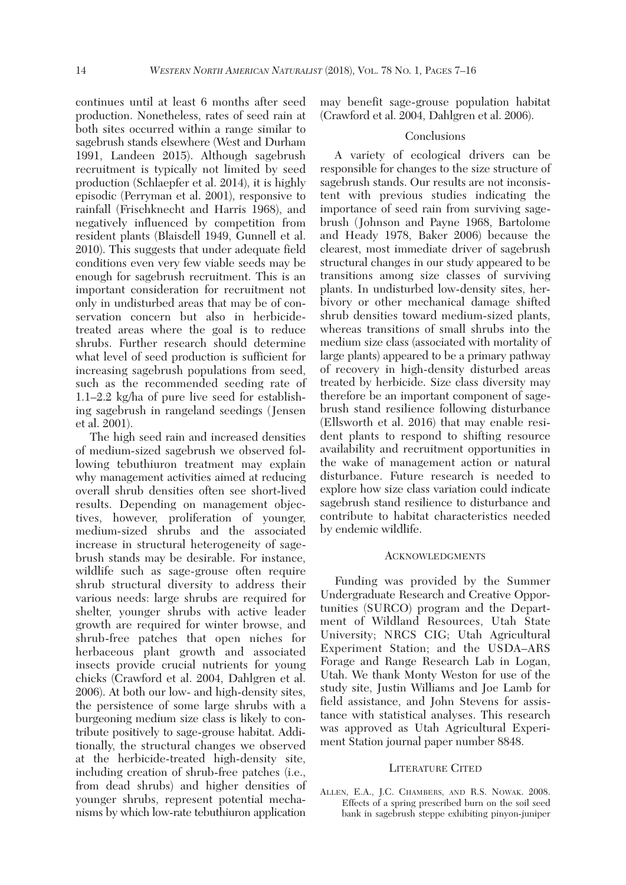continues until at least 6 months after seed production. Nonetheless, rates of seed rain at both sites occurred within a range similar to sagebrush stands elsewhere (West and Durham 1991, Landeen 2015). Although sagebrush recruitment is typically not limited by seed production (Schlaepfer et al. 2014), it is highly episodic (Perryman et al. 2001), responsive to rainfall (Frischknecht and Harris 1968), and negatively influenced by competition from resident plants (Blaisdell 1949, Gunnell et al. 2010). This suggests that under adequate field conditions even very few viable seeds may be enough for sagebrush recruitment. This is an important consideration for recruitment not only in undisturbed areas that may be of conservation concern but also in herbicidetreated areas where the goal is to reduce shrubs. Further research should determine what level of seed production is sufficient for increasing sagebrush populations from seed, such as the recommended seeding rate of 1.1–2.2 kg/ha of pure live seed for establishing sagebrush in rangeland seedings (Jensen et al. 2001).

 The high seed rain and increased densities of medium-sized sagebrush we observed following tebuthiuron treatment may explain why management activities aimed at reducing overall shrub densities often see short-lived results. Depending on management objectives, however, proliferation of younger, medium-sized shrubs and the associated increase in structural heterogeneity of sagebrush stands may be desirable. For instance, wildlife such as sage-grouse often require shrub structural diversity to address their various needs: large shrubs are required for shelter, younger shrubs with active leader growth are required for winter browse, and shrub-free patches that open niches for herbaceous plant growth and associated insects provide crucial nutrients for young chicks (Crawford et al. 2004, Dahlgren et al. 2006). At both our low- and high-density sites, the persistence of some large shrubs with a burgeoning medium size class is likely to contribute positively to sage-grouse habitat. Additionally, the structural changes we observed at the herbicide-treated high-density site, including creation of shrub-free patches (i.e., from dead shrubs) and higher densities of younger shrubs, represent potential mechanisms by which low-rate tebuthiuron application may benefit sage-grouse population habitat (Crawford et al. 2004, Dahlgren et al. 2006).

# **Conclusions**

 A variety of ecological drivers can be responsible for changes to the size structure of sagebrush stands. Our results are not inconsistent with previous studies indicating the importance of seed rain from surviving sagebrush (Johnson and Payne 1968, Bartolome and Heady 1978, Baker 2006) because the clearest, most immediate driver of sagebrush structural changes in our study appeared to be transitions among size classes of surviving plants. In undisturbed low-density sites, herbivory or other mechanical damage shifted shrub densities toward medium-sized plants, whereas transitions of small shrubs into the medium size class (associated with mortality of large plants) appeared to be a primary pathway of recovery in high-density disturbed areas treated by herbicide. Size class diversity may therefore be an important component of sagebrush stand resilience following disturbance (Ellsworth et al. 2016) that may enable resident plants to respond to shifting resource availability and recruitment opportunities in the wake of management action or natural disturbance. Future research is needed to explore how size class variation could indicate sagebrush stand resilience to disturbance and contribute to habitat characteristics needed by endemic wildlife.

# ACKNOWLEDGMENTS

 Funding was provided by the Summer Undergraduate Research and Creative Opportunities (SURCO) program and the Department of Wildland Resources, Utah State University; NRCS CIG; Utah Agricultural Experiment Station; and the USDA–ARS Forage and Range Research Lab in Logan, Utah. We thank Monty Weston for use of the study site, Justin Williams and Joe Lamb for field assistance, and John Stevens for assistance with statistical analyses. This research was approved as Utah Agricultural Experiment Station journal paper number 8848.

# LITERATURE CITED

ALLEN, E.A., J.C. CHAMBERS, AND R.S. NOWAK. 2008. Effects of a spring prescribed burn on the soil seed bank in sagebrush steppe exhibiting pinyon-juniper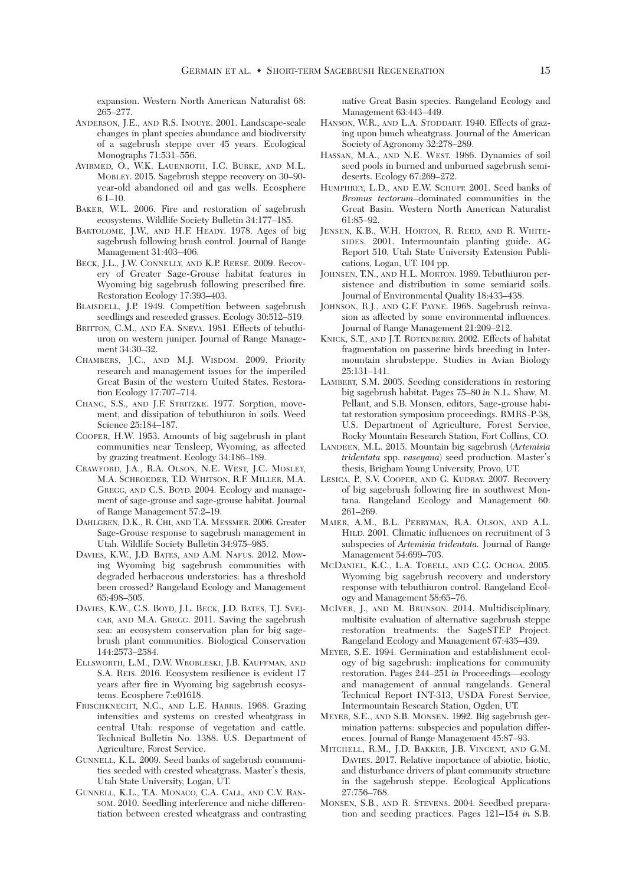expansion. Western North American Naturalist 68: 265–277.

- ANDERSON, J.E., AND R.S. INOUYE. 2001. Landscape-scale changes in plant species abundance and biodiversity of a sagebrush steppe over 45 years. Ecological Monographs 71:531–556.
- AVIRMED, O., W.K. LAUENROTH, I.C. BURKE, AND M.L. MOBLEY. 2015. Sagebrush steppe recovery on 30–90 year-old abandoned oil and gas wells. Ecosphere 6:1–10.
- BAKER, W.L. 2006. Fire and restoration of sagebrush ecosystems. Wildlife Society Bulletin 34:177–185.
- BARTOLOME, J.W., AND H.F. HEADY. 1978. Ages of big sagebrush following brush control. Journal of Range Management 31:403–406.
- BECK, J.L., J.W. CONNELLY, AND K.P. REESE. 2009. Recovery of Greater Sage-Grouse habitat features in Wyoming big sagebrush following prescribed fire. Restoration Ecology 17:393–403.
- BLAISDELL, J.P. 1949. Competition between sagebrush seedlings and reseeded grasses. Ecology 30:512–519.
- BRITTON, C.M., AND F.A. SNEVA. 1981. Effects of tebuthiuron on western juniper. Journal of Range Management 34:30–32.
- CHAMBERS, J.C., AND M.J. WISDOM. 2009. Priority research and management issues for the imperiled Great Basin of the western United States. Restoration Ecology 17:707–714.
- CHANG, S.S., AND J.F. STRITZKE. 1977. Sorption, movement, and dissipation of tebuthiuron in soils. Weed Science 25:184–187.
- COOPER, H.W. 1953. Amounts of big sagebrush in plant communities near Tensleep, Wyoming, as affected by grazing treatment. Ecology 34:186–189.
- CRAWFORD, J.A., R.A. OLSON, N.E. WEST, J.C. MOSLEY, M.A. SCHROEDER, T.D. WHITSON, R.F. MILLER, M.A. GREGG, AND C.S. BOYD. 2004. Ecology and management of sage-grouse and sage-grouse habitat. Journal of Range Management 57:2–19.
- DAHLGREN, D.K., R. CHI, AND T.A. MESSMER. 2006. Greater Sage-Grouse response to sagebrush management in Utah. Wildlife Society Bulletin 34:975–985.
- DAVIES, K.W., J.D. BATES, AND A.M. NAFUS. 2012. Mowing Wyoming big sagebrush communities with degraded herbaceous understories: has a threshold been crossed? Rangeland Ecology and Management 65:498–505.
- DAVIES, K.W., C.S. BOYD, J.L. BECK, J.D. BATES, T.J. SVEJ-CAR, AND M.A. GREGG. 2011. Saving the sagebrush sea: an ecosystem conservation plan for big sagebrush plant communities. Biological Conservation 144:2573–2584.
- ELLSWORTH, L.M., D.W. WROBLESKI, J.B. KAUFFMAN, AND S.A. REIS. 2016. Ecosystem resilience is evident 17 years after fire in Wyoming big sagebrush ecosystems. Ecosphere 7:e01618.
- FRISCHKNECHT, N.C., AND L.E. HARRIS. 1968. Grazing intensities and systems on crested wheatgrass in central Utah: response of vegetation and cattle. Technical Bulletin No. 1388. U.S. Department of Agriculture, Forest Service.
- GUNNELL, K.L. 2009. Seed banks of sagebrush communities seeded with crested wheatgrass. Master's thesis, Utah State University, Logan, UT.
- GUNNELL, K.L., T.A. MONACO, C.A. CALL, AND C.V. RAN-SOM. 2010. Seedling interference and niche differentiation between crested wheatgrass and contrasting

native Great Basin species. Rangeland Ecology and Management 63:443–449.

- HANSON, W.R., AND L.A. STODDART. 1940. Effects of grazing upon bunch wheatgrass. Journal of the American Society of Agronomy 32:278–289.
- HASSAN, M.A., AND N.E. WEST. 1986. Dynamics of soil seed pools in burned and unburned sagebrush semideserts. Ecology 67:269–272.
- HUMPHREY, L.D., AND E.W. SCHUPP. 2001. Seed banks of *Bromus tectorum*–dominated communities in the Great Basin. Western North American Naturalist 61:85–92.
- JENSEN, K.B., W.H. HORTON, R. REED, AND R. WHITE-SIDES. 2001. Intermountain planting guide. AG Report 510, Utah State University Extension Publications, Logan, UT. 104 pp.
- JOHNSEN, T.N., AND H.L. MORTON. 1989. Tebuthiuron persistence and distribution in some semiarid soils. Journal of Environmental Quality 18:433–438.
- JOHNSON, R.J., AND G.F. PAYNE. 1968. Sagebrush reinvasion as affected by some environmental influences. Journal of Range Management 21:209–212.
- KNICK, S.T., AND J.T. ROTENBERRY. 2002. Effects of habitat fragmentation on passerine birds breeding in Intermountain shrubsteppe. Studies in Avian Biology 25:131–141.
- LAMBERT, S.M. 2005. Seeding considerations in restoring big sagebrush habitat. Pages 75–80 *in* N.L. Shaw, M. Pellant, and S.B. Monsen, editors, Sage-grouse habitat restoration symposium proceedings. RMRS-P-38, U.S. Department of Agriculture, Forest Service, Rocky Mountain Research Station, Fort Collins, CO.
- LANDEEN, M.L. 2015. Mountain big sagebrush (*Artemisia tridentata* spp. *vaseyana*) seed production. Master's thesis, Brigham Young University, Provo, UT.
- LESICA, P., S.V. COOPER, AND G. KUDRAY. 2007. Recovery of big sagebrush following fire in southwest Montana. Rangeland Ecology and Management 60: 261–269.
- MAIER, A.M., B.L. PERRYMAN, R.A. OLSON, AND A.L. HILD. 2001. Climatic influences on recruitment of 3 subspecies of *Artemisia tridentata.* Journal of Range Management 54:699–703.
- MCDANIEL, K.C., L.A. TORELL, AND C.G. OCHOA. 2005. Wyoming big sagebrush recovery and understory response with tebuthiuron control. Rangeland Ecology and Management 58:65–76.
- MCIVER, J., AND M. BRUNSON. 2014. Multidisciplinary, multisite evaluation of alternative sagebrush steppe restoration treatments: the SageSTEP Project. Rangeland Ecology and Management 67:435–439.
- MEYER, S.E. 1994. Germination and establishment ecology of big sagebrush: implications for community restoration. Pages 244–251 *in* Proceedings—ecology and management of annual rangelands. General Technical Report INT-313, USDA Forest Service, Intermountain Research Station, Ogden, UT.
- MEYER, S.E., AND S.B. MONSEN. 1992. Big sagebrush germination patterns: subspecies and population differences. Journal of Range Management 45:87–93.
- MITCHELL, R.M., J.D. BAKKER, J.B. VINCENT, AND G.M. DAVIES. 2017. Relative importance of abiotic, biotic, and disturbance drivers of plant community structure in the sagebrush steppe. Ecological Applications 27:756–768.
- MONSEN, S.B., AND R. STEVENS. 2004. Seedbed preparation and seeding practices. Pages 121–154 *in* S.B.